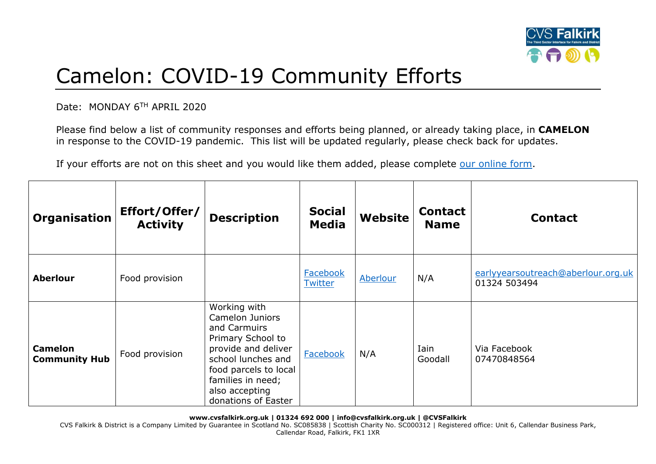

## Camelon: COVID-19 Community Efforts

Date: MONDAY 6TH APRIL 2020

Please find below a list of community responses and efforts being planned, or already taking place, in **CAMELON** in response to the COVID-19 pandemic. This list will be updated regularly, please check back for updates.

If your efforts are not on this sheet and you would like them added, please complete [our online form.](https://forms.office.com/Pages/ResponsePage.aspx?id=6VEZaLCW4EefTnjqs1GaupRwm5MIeS1HoQIx_4VQsBJUODFFNjQ4S0YzN0tIODdPOUJWTTJFNkg2QS4u)

| Organisation                           | Effort/Offer/<br><b>Activity</b> | <b>Description</b>                                                                                                                                                                                              | <b>Social</b><br><b>Media</b> | Website  | <b>Contact</b><br><b>Name</b> | <b>Contact</b>                                     |
|----------------------------------------|----------------------------------|-----------------------------------------------------------------------------------------------------------------------------------------------------------------------------------------------------------------|-------------------------------|----------|-------------------------------|----------------------------------------------------|
| <b>Aberlour</b>                        | Food provision                   |                                                                                                                                                                                                                 | Facebook<br>Twitter           | Aberlour | N/A                           | earlyyearsoutreach@aberlour.org.uk<br>01324 503494 |
| <b>Camelon</b><br><b>Community Hub</b> | Food provision                   | Working with<br><b>Camelon Juniors</b><br>and Carmuirs<br>Primary School to<br>provide and deliver<br>school lunches and<br>food parcels to local<br>families in need;<br>also accepting<br>donations of Easter | Facebook                      | N/A      | Iain<br>Goodall               | Via Facebook<br>07470848564                        |

**www.cvsfalkirk.org.uk | 01324 692 000 | info@cvsfalkirk.org.uk | @CVSFalkirk**

CVS Falkirk & District is a Company Limited by Guarantee in Scotland No. SC085838 | Scottish Charity No. SC000312 | Registered office: Unit 6, Callendar Business Park, Callendar Road, Falkirk, FK1 1XR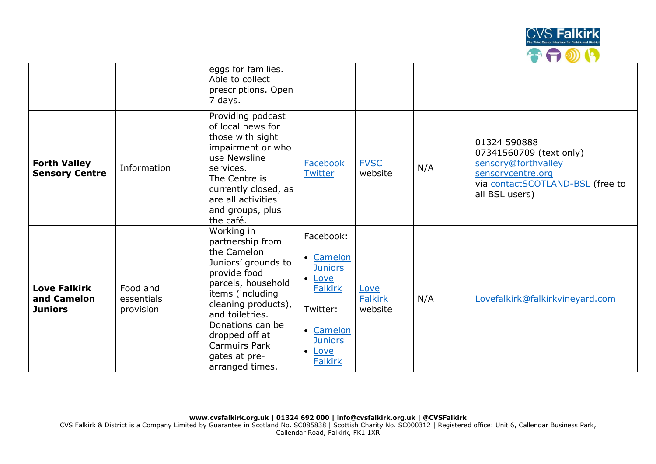

|                                                      |                                     | eggs for families.<br>Able to collect<br>prescriptions. Open<br>7 days.                                                                                                                                                                                                    |                                                                                                                                                     |                                   |     |                                                                                                                                           |
|------------------------------------------------------|-------------------------------------|----------------------------------------------------------------------------------------------------------------------------------------------------------------------------------------------------------------------------------------------------------------------------|-----------------------------------------------------------------------------------------------------------------------------------------------------|-----------------------------------|-----|-------------------------------------------------------------------------------------------------------------------------------------------|
| <b>Forth Valley</b><br><b>Sensory Centre</b>         | Information                         | Providing podcast<br>of local news for<br>those with sight<br>impairment or who<br>use Newsline<br>services.<br>The Centre is<br>currently closed, as<br>are all activities<br>and groups, plus<br>the café.                                                               | Facebook<br><b>Twitter</b>                                                                                                                          | <b>FVSC</b><br>website            | N/A | 01324 590888<br>07341560709 (text only)<br>sensory@forthvalley<br>sensorycentre.org<br>via contactSCOTLAND-BSL (free to<br>all BSL users) |
| <b>Love Falkirk</b><br>and Camelon<br><b>Juniors</b> | Food and<br>essentials<br>provision | Working in<br>partnership from<br>the Camelon<br>Juniors' grounds to<br>provide food<br>parcels, household<br>items (including<br>cleaning products),<br>and toiletries.<br>Donations can be<br>dropped off at<br><b>Carmuirs Park</b><br>gates at pre-<br>arranged times. | Facebook:<br>• Camelon<br><b>Juniors</b><br>• Love<br><b>Falkirk</b><br>Twitter:<br>• Camelon<br><b>Juniors</b><br>$\bullet$ Love<br><b>Falkirk</b> | Love<br><b>Falkirk</b><br>website | N/A | Lovefalkirk@falkirkvineyard.com                                                                                                           |